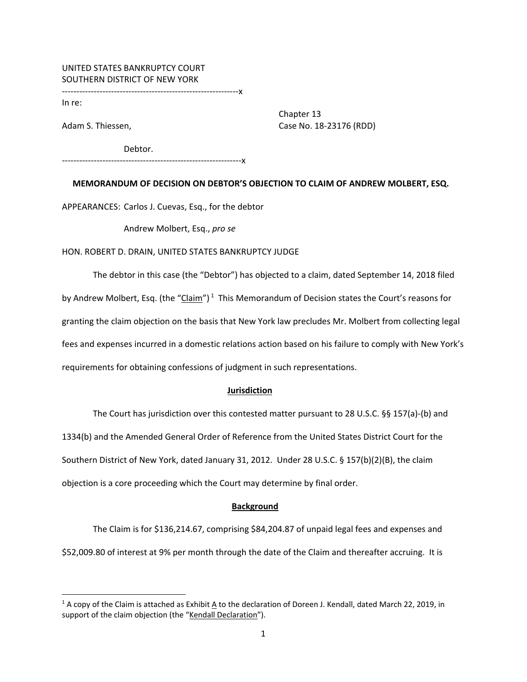# UNITED STATES BANKRUPTCY COURT SOUTHERN DISTRICT OF NEW YORK

‐‐‐‐‐‐‐‐‐‐‐‐‐‐‐‐‐‐‐‐‐‐‐‐‐‐‐‐‐‐‐‐‐‐‐‐‐‐‐‐‐‐‐‐‐‐‐‐‐‐‐‐‐‐‐‐‐‐‐‐‐x

In re:

 Chapter 13 Adam S. Thiessen, Case No. 18‐23176 (RDD)

Debtor.

‐‐‐‐‐‐‐‐‐‐‐‐‐‐‐‐‐‐‐‐‐‐‐‐‐‐‐‐‐‐‐‐‐‐‐‐‐‐‐‐‐‐‐‐‐‐‐‐‐‐‐‐‐‐‐‐‐‐‐‐‐‐x

**MEMORANDUM OF DECISION ON DEBTOR'S OBJECTION TO CLAIM OF ANDREW MOLBERT, ESQ.**

APPEARANCES: Carlos J. Cuevas, Esq., for the debtor

Andrew Molbert, Esq., *pro se*

### HON. ROBERT D. DRAIN, UNITED STATES BANKRUPTCY JUDGE

The debtor in this case (the "Debtor") has objected to a claim, dated September 14, 2018 filed by Andrew Molbert, Esq. (the "Claim")<sup>1</sup> This Memorandum of Decision states the Court's reasons for granting the claim objection on the basis that New York law precludes Mr. Molbert from collecting legal fees and expenses incurred in a domestic relations action based on his failure to comply with New York's requirements for obtaining confessions of judgment in such representations.

## **Jurisdiction**

The Court has jurisdiction over this contested matter pursuant to 28 U.S.C. §§ 157(a)‐(b) and 1334(b) and the Amended General Order of Reference from the United States District Court for the Southern District of New York, dated January 31, 2012. Under 28 U.S.C. § 157(b)(2)(B), the claim objection is a core proceeding which the Court may determine by final order.

### **Background**

The Claim is for \$136,214.67, comprising \$84,204.87 of unpaid legal fees and expenses and \$52,009.80 of interest at 9% per month through the date of the Claim and thereafter accruing. It is

 $1A$  copy of the Claim is attached as Exhibit A to the declaration of Doreen J. Kendall, dated March 22, 2019, in support of the claim objection (the "Kendall Declaration").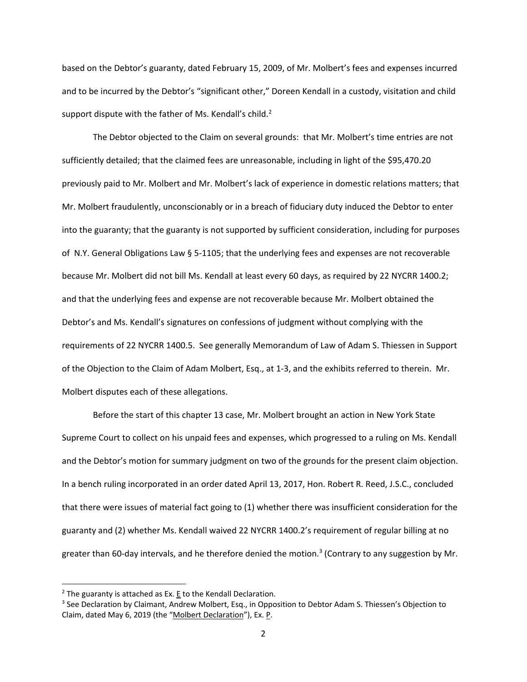based on the Debtor's guaranty, dated February 15, 2009, of Mr. Molbert's fees and expenses incurred and to be incurred by the Debtor's "significant other," Doreen Kendall in a custody, visitation and child support dispute with the father of Ms. Kendall's child.<sup>2</sup>

The Debtor objected to the Claim on several grounds: that Mr. Molbert's time entries are not sufficiently detailed; that the claimed fees are unreasonable, including in light of the \$95,470.20 previously paid to Mr. Molbert and Mr. Molbert's lack of experience in domestic relations matters; that Mr. Molbert fraudulently, unconscionably or in a breach of fiduciary duty induced the Debtor to enter into the guaranty; that the guaranty is not supported by sufficient consideration, including for purposes of N.Y. General Obligations Law § 5‐1105; that the underlying fees and expenses are not recoverable because Mr. Molbert did not bill Ms. Kendall at least every 60 days, as required by 22 NYCRR 1400.2; and that the underlying fees and expense are not recoverable because Mr. Molbert obtained the Debtor's and Ms. Kendall's signatures on confessions of judgment without complying with the requirements of 22 NYCRR 1400.5. See generally Memorandum of Law of Adam S. Thiessen in Support of the Objection to the Claim of Adam Molbert, Esq., at 1‐3, and the exhibits referred to therein. Mr. Molbert disputes each of these allegations.

Before the start of this chapter 13 case, Mr. Molbert brought an action in New York State Supreme Court to collect on his unpaid fees and expenses, which progressed to a ruling on Ms. Kendall and the Debtor's motion for summary judgment on two of the grounds for the present claim objection. In a bench ruling incorporated in an order dated April 13, 2017, Hon. Robert R. Reed, J.S.C., concluded that there were issues of material fact going to (1) whether there was insufficient consideration for the guaranty and (2) whether Ms. Kendall waived 22 NYCRR 1400.2's requirement of regular billing at no greater than 60-day intervals, and he therefore denied the motion.<sup>3</sup> (Contrary to any suggestion by Mr.

 $2$  The guaranty is attached as Ex. E to the Kendall Declaration.

<sup>&</sup>lt;sup>3</sup> See Declaration by Claimant, Andrew Molbert, Esq., in Opposition to Debtor Adam S. Thiessen's Objection to Claim, dated May 6, 2019 (the "Molbert Declaration"), Ex. P.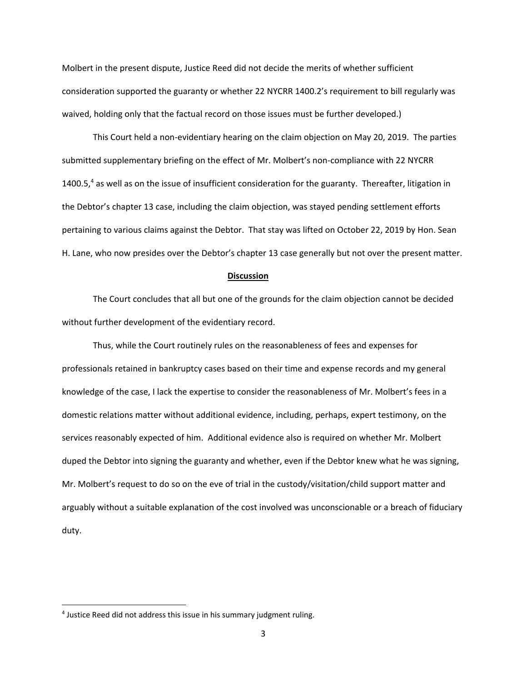Molbert in the present dispute, Justice Reed did not decide the merits of whether sufficient consideration supported the guaranty or whether 22 NYCRR 1400.2's requirement to bill regularly was waived, holding only that the factual record on those issues must be further developed.)

This Court held a non‐evidentiary hearing on the claim objection on May 20, 2019. The parties submitted supplementary briefing on the effect of Mr. Molbert's non-compliance with 22 NYCRR 1400.5, $4$  as well as on the issue of insufficient consideration for the guaranty. Thereafter, litigation in the Debtor's chapter 13 case, including the claim objection, was stayed pending settlement efforts pertaining to various claims against the Debtor. That stay was lifted on October 22, 2019 by Hon. Sean H. Lane, who now presides over the Debtor's chapter 13 case generally but not over the present matter.

#### **Discussion**

The Court concludes that all but one of the grounds for the claim objection cannot be decided without further development of the evidentiary record.

Thus, while the Court routinely rules on the reasonableness of fees and expenses for professionals retained in bankruptcy cases based on their time and expense records and my general knowledge of the case, I lack the expertise to consider the reasonableness of Mr. Molbert's fees in a domestic relations matter without additional evidence, including, perhaps, expert testimony, on the services reasonably expected of him. Additional evidence also is required on whether Mr. Molbert duped the Debtor into signing the guaranty and whether, even if the Debtor knew what he was signing, Mr. Molbert's request to do so on the eve of trial in the custody/visitation/child support matter and arguably without a suitable explanation of the cost involved was unconscionable or a breach of fiduciary duty.

<sup>&</sup>lt;sup>4</sup> Justice Reed did not address this issue in his summary judgment ruling.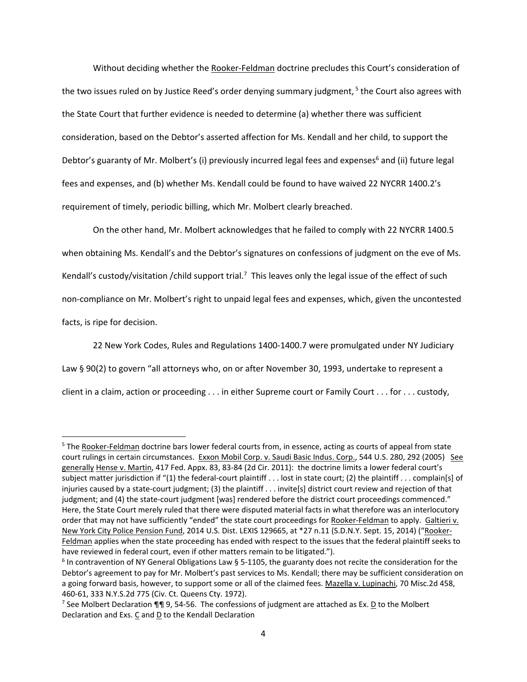Without deciding whether the Rooker‐Feldman doctrine precludes this Court's consideration of the two issues ruled on by Justice Reed's order denying summary judgment,  $5$  the Court also agrees with the State Court that further evidence is needed to determine (a) whether there was sufficient consideration, based on the Debtor's asserted affection for Ms. Kendall and her child, to support the Debtor's guaranty of Mr. Molbert's (i) previously incurred legal fees and expenses<sup>6</sup> and (ii) future legal fees and expenses, and (b) whether Ms. Kendall could be found to have waived 22 NYCRR 1400.2's requirement of timely, periodic billing, which Mr. Molbert clearly breached.

On the other hand, Mr. Molbert acknowledges that he failed to comply with 22 NYCRR 1400.5 when obtaining Ms. Kendall's and the Debtor's signatures on confessions of judgment on the eve of Ms. Kendall's custody/visitation / child support trial.<sup>7</sup> This leaves only the legal issue of the effect of such non‐compliance on Mr. Molbert's right to unpaid legal fees and expenses, which, given the uncontested facts, is ripe for decision.

22 New York Codes, Rules and Regulations 1400‐1400.7 were promulgated under NY Judiciary Law § 90(2) to govern "all attorneys who, on or after November 30, 1993, undertake to represent a client in a claim, action or proceeding . . . in either Supreme court or Family Court . . . for . . . custody,

<sup>5</sup> The Rooker-Feldman doctrine bars lower federal courts from, in essence, acting as courts of appeal from state court rulings in certain circumstances. Exxon Mobil Corp. v. Saudi Basic Indus. Corp., 544 U.S. 280, 292 (2005) See generally Hense v. Martin, 417 Fed. Appx. 83, 83‐84 (2d Cir. 2011): the doctrine limits a lower federal court's subject matter jurisdiction if "(1) the federal-court plaintiff . . . lost in state court; (2) the plaintiff . . . complain[s] of injuries caused by a state‐court judgment; (3) the plaintiff . . . invite[s] district court review and rejection of that judgment; and (4) the state-court judgment [was] rendered before the district court proceedings commenced." Here, the State Court merely ruled that there were disputed material facts in what therefore was an interlocutory order that may not have sufficiently "ended" the state court proceedings for Rooker‐Feldman to apply. Galtieri v. New York City Police Pension Fund, 2014 U.S. Dist. LEXIS 129665, at \*27 n.11 (S.D.N.Y. Sept. 15, 2014) ("Rooker‐ Feldman applies when the state proceeding has ended with respect to the issues that the federal plaintiff seeks to have reviewed in federal court, even if other matters remain to be litigated.").

 $6$  In contravention of NY General Obligations Law § 5-1105, the guaranty does not recite the consideration for the Debtor's agreement to pay for Mr. Molbert's past services to Ms. Kendall; there may be sufficient consideration on a going forward basis, however, to support some or all of the claimed fees. Mazella v. Lupinachi, 70 Misc.2d 458, 460‐61, 333 N.Y.S.2d 775 (Civ. Ct. Queens Cty. 1972).

<sup>&</sup>lt;sup>7</sup> See Molbert Declaration ¶¶ 9, 54-56. The confessions of judgment are attached as Ex. **D** to the Molbert Declaration and Exs. C and D to the Kendall Declaration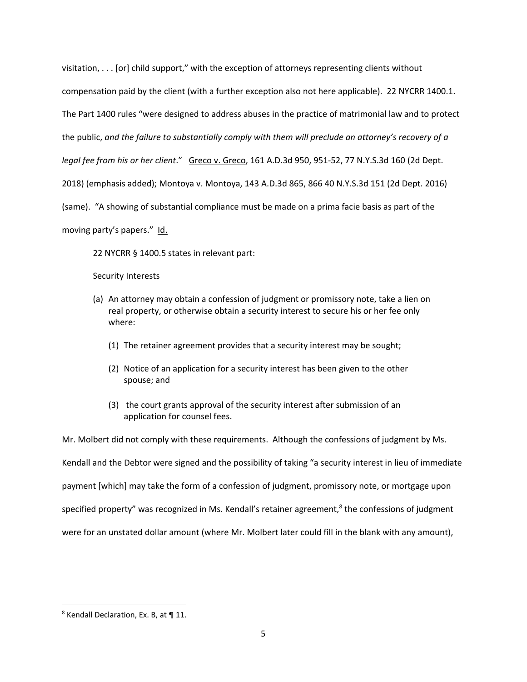visitation, . . . [or] child support," with the exception of attorneys representing clients without compensation paid by the client (with a further exception also not here applicable). 22 NYCRR 1400.1. The Part 1400 rules "were designed to address abuses in the practice of matrimonial law and to protect the public, *and the failure to substantially comply with them will preclude an attorney's recovery of a legal fee from his or her client*." Greco v. Greco, 161 A.D.3d 950, 951‐52, 77 N.Y.S.3d 160 (2d Dept. 2018) (emphasis added); Montoya v. Montoya, 143 A.D.3d 865, 866 40 N.Y.S.3d 151 (2d Dept. 2016) (same). "A showing of substantial compliance must be made on a prima facie basis as part of the moving party's papers." Id.

22 NYCRR § 1400.5 states in relevant part:

Security Interests

- (a) An attorney may obtain a confession of judgment or promissory note, take a lien on real property, or otherwise obtain a security interest to secure his or her fee only where:
	- (1) The retainer agreement provides that a security interest may be sought;
	- (2) Notice of an application for a security interest has been given to the other spouse; and
	- (3) the court grants approval of the security interest after submission of an application for counsel fees.

Mr. Molbert did not comply with these requirements. Although the confessions of judgment by Ms. Kendall and the Debtor were signed and the possibility of taking "a security interest in lieu of immediate payment [which] may take the form of a confession of judgment, promissory note, or mortgage upon specified property" was recognized in Ms. Kendall's retainer agreement, $8$  the confessions of judgment were for an unstated dollar amount (where Mr. Molbert later could fill in the blank with any amount),

 <sup>8</sup> Kendall Declaration, Ex. B, at ¶ 11.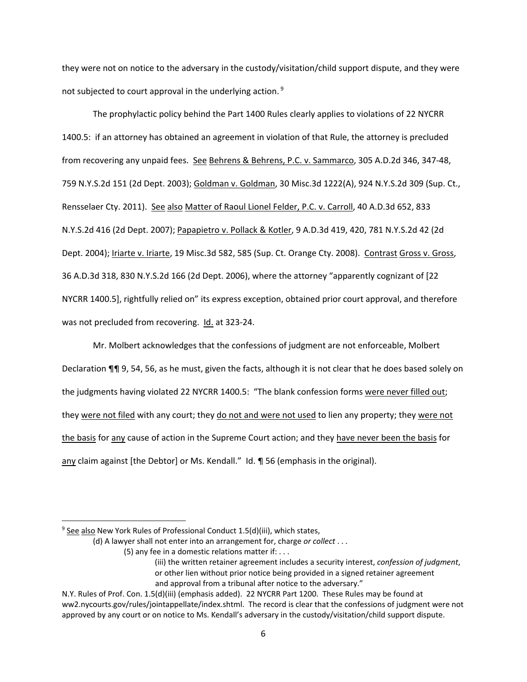they were not on notice to the adversary in the custody/visitation/child support dispute, and they were not subjected to court approval in the underlying action. <sup>9</sup>

The prophylactic policy behind the Part 1400 Rules clearly applies to violations of 22 NYCRR 1400.5: if an attorney has obtained an agreement in violation of that Rule, the attorney is precluded from recovering any unpaid fees. See Behrens & Behrens, P.C. v. Sammarco, 305 A.D.2d 346, 347‐48, 759 N.Y.S.2d 151 (2d Dept. 2003); Goldman v. Goldman, 30 Misc.3d 1222(A), 924 N.Y.S.2d 309 (Sup. Ct., Rensselaer Cty. 2011). See also Matter of Raoul Lionel Felder, P.C. v. Carroll, 40 A.D.3d 652, 833 N.Y.S.2d 416 (2d Dept. 2007); Papapietro v. Pollack & Kotler, 9 A.D.3d 419, 420, 781 N.Y.S.2d 42 (2d Dept. 2004); Iriarte v. Iriarte, 19 Misc.3d 582, 585 (Sup. Ct. Orange Cty. 2008). Contrast Gross v. Gross, 36 A.D.3d 318, 830 N.Y.S.2d 166 (2d Dept. 2006), where the attorney "apparently cognizant of [22 NYCRR 1400.5], rightfully relied on" its express exception, obtained prior court approval, and therefore was not precluded from recovering. Id. at 323-24.

Mr. Molbert acknowledges that the confessions of judgment are not enforceable, Molbert Declaration ¶¶ 9, 54, 56, as he must, given the facts, although it is not clear that he does based solely on the judgments having violated 22 NYCRR 1400.5: "The blank confession forms were never filled out; they were not filed with any court; they do not and were not used to lien any property; they were not the basis for any cause of action in the Supreme Court action; and they have never been the basis for any claim against [the Debtor] or Ms. Kendall." Id. ¶ 56 (emphasis in the original).

 $9$  See also New York Rules of Professional Conduct 1.5(d)(iii), which states,

<sup>(</sup>d) A lawyer shall not enter into an arrangement for, charge *or collect* . . .

 (5) any fee in a domestic relations matter if: . . .

 (iii) the written retainer agreement includes a security interest, *confession of judgment*, or other lien without prior notice being provided in a signed retainer agreement and approval from a tribunal after notice to the adversary."

N.Y. Rules of Prof. Con. 1.5(d)(iii) (emphasis added). 22 NYCRR Part 1200. These Rules may be found at ww2.nycourts.gov/rules/jointappellate/index.shtml. The record is clear that the confessions of judgment were not approved by any court or on notice to Ms. Kendall's adversary in the custody/visitation/child support dispute.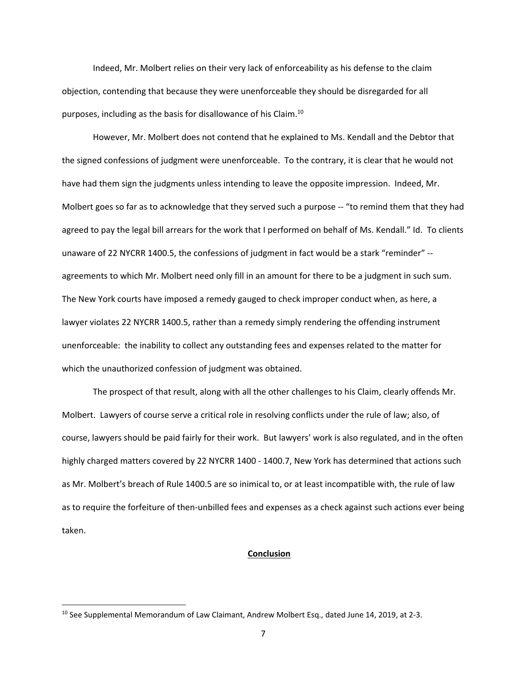Indeed, Mr. Molbert relies on their very lack of enforceability as his defense to the claim objection, contending that because they were unenforceable they should be disregarded for all purposes, including as the basis for disallowance of his Claim.10

However, Mr. Molbert does not contend that he explained to Ms. Kendall and the Debtor that the signed confessions of judgment were unenforceable. To the contrary, it is clear that he would not have had them sign the judgments unless intending to leave the opposite impression. Indeed, Mr. Molbert goes so far as to acknowledge that they served such a purpose -- "to remind them that they had agreed to pay the legal bill arrears for the work that I performed on behalf of Ms. Kendall." Id. To clients unaware of 22 NYCRR 1400.5, the confessions of judgment in fact would be a stark "reminder" ‐‐ agreements to which Mr. Molbert need only fill in an amount for there to be a judgment in such sum. The New York courts have imposed a remedy gauged to check improper conduct when, as here, a lawyer violates 22 NYCRR 1400.5, rather than a remedy simply rendering the offending instrument unenforceable: the inability to collect any outstanding fees and expenses related to the matter for which the unauthorized confession of judgment was obtained.

The prospect of that result, along with all the other challenges to his Claim, clearly offends Mr. Molbert. Lawyers of course serve a critical role in resolving conflicts under the rule of law; also, of course, lawyers should be paid fairly for their work. But lawyers' work is also regulated, and in the often highly charged matters covered by 22 NYCRR 1400 - 1400.7, New York has determined that actions such as Mr. Molbert's breach of Rule 1400.5 are so inimical to, or at least incompatible with, the rule of law as to require the forfeiture of then-unbilled fees and expenses as a check against such actions ever being taken.

#### **Conclusion**

<sup>&</sup>lt;sup>10</sup> See Supplemental Memorandum of Law Claimant, Andrew Molbert Esq., dated June 14, 2019, at 2-3.